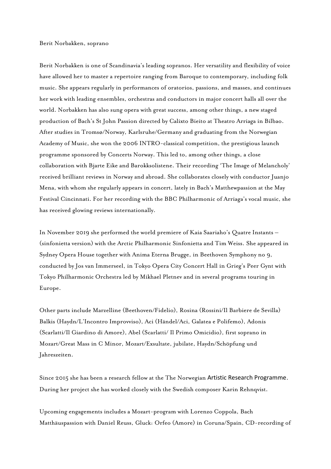## Berit Norbakken, soprano

Berit Norbakken is one of Scandinavia's leading sopranos. Her versatility and flexibility of voice have allowed her to master a repertoire ranging from Baroque to contemporary, including folk music. She appears regularly in performances of oratorios, passions, and masses, and continues her work with leading ensembles, orchestras and conductors in major concert halls all over the world. Norbakken has also sung opera with great success, among other things, a new staged production of Bach's St John Passion directed by Calixto Bieito at Theatro Arriaga in Bilbao. After studies in Tromsø/Norway, Karlsruhe/Germany and graduating from the Norwegian Academy of Music, she won the 2006 INTRO-classical competition, the prestigious launch programme sponsored by Concerts Norway. This led to, among other things, a close collaboration with Bjarte Eike and Barokksolistene. Their recording 'The Image of Melancholy' received brilliant reviews in Norway and abroad. She collaborates closely with conductor Juanjo Mena, with whom she regularly appears in concert, lately in Bach's Matthewpassion at the May Festival Cincinnati. For her recording with the BBC Philharmonic of Arriaga's vocal music, she has received glowing reviews internationally.

In November 2019 she performed the world premiere of Kaia Saariaho's Quatre Instants – (sinfonietta version) with the Arctic Philharmonic Sinfonietta and Tim Weiss. She appeared in Sydney Opera House together with Anima Eterna Brugge, in Beethoven Symphony no 9, conducted by Jos van Immerseel, in Tokyo Opera City Concert Hall in Grieg's Peer Gynt with Tokyo Philharmonic Orchestra led by Mikhael Pletnev and in several programs touring in Europe.

Other parts include Marzelline (Beethoven/Fidelio), Rosina (Rossini/Il Barbiere de Sevilla) Balkis (Haydn/L'Incontro Improvviso), Aci (Händel/Aci, Galatea e Polifemo), Adonis (Scarlatti/Il Giardino di Amore), Abel (Scarlatti/ Il Primo Omicidio), first soprano in Mozart/Great Mass in C Minor, Mozart/Exsultate, jubilate, Haydn/Schöpfung und Jahreszeiten.

Since 2015 she has been a research fellow at the The Norwegian Artistic Research Programme. During her project she has worked closely with the Swedish composer Karin Rehnqvist.

Upcoming engagements includes a Mozart-program with Lorenzo Coppola, Bach Matthäuspassion with Daniel Reuss, Gluck: Orfeo (Amore) in Coruna/Spain, CD-recording of